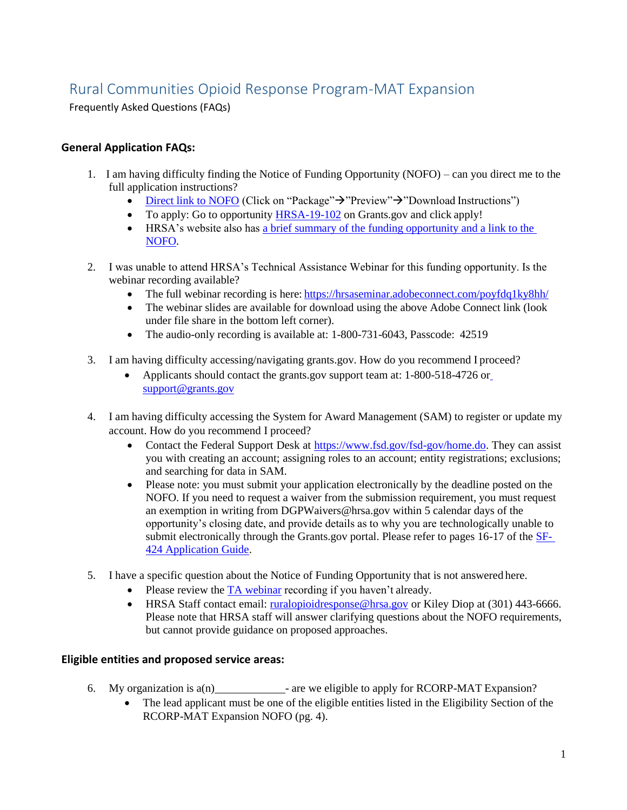# Rural Communities Opioid Response Program-MAT Expansion

Frequently Asked Questions (FAQs)

## **General Application FAQs:**

- 1. I am having difficulty finding the Notice of Funding Opportunity (NOFO) can you direct me to the full application instructions?
	- [Direct link to NOFO](https://www.grants.gov/web/grants/search-grants.html?keywords=hrsa-19-102) (Click on "Package" $\rightarrow$ "Preview" $\rightarrow$ "Download Instructions")
	- To apply: Go to opportunity [HRSA-19-102](https://www.grants.gov/web/grants/search-grants.html?keywords=hrsa-19-102) on Grants.gov and click apply!
	- HRSA's website also has [a brief summary of the funding opportunity and a link to the](https://www.hrsa.gov/ruralhealth/programopportunities/fundingopportunities/?id=b78be3df-ea8f-40b0-82b4-ba0c0857030c) [NOFO.](https://www.hrsa.gov/ruralhealth/programopportunities/fundingopportunities/?id=b78be3df-ea8f-40b0-82b4-ba0c0857030c)
- 2. I was unable to attend HRSA's Technical Assistance Webinar for this funding opportunity. Is the webinar recording available?
	- The full webinar recording is here: <https://hrsaseminar.adobeconnect.com/poyfdq1ky8hh/>
	- The webinar slides are available for download using the above Adobe Connect link (look under file share in the bottom left corner).
	- The audio-only recording is available at: 1-800-731-6043, Passcode: 42519
- 3. I am having difficulty accessing/navigating grants.gov. How do you recommend I proceed?
	- Applicants should contact the grants.gov support team at: 1-800-518-4726 o[r](mailto:support@grants.gov) [support@grants.gov](mailto:support@grants.gov)
- 4. I am having difficulty accessing the System for Award Management (SAM) to register or update my account. How do you recommend I proceed?
	- Contact the Federal Support Desk at [https://www.fsd.gov/fsd-gov/home.do.](https://www.fsd.gov/fsd-gov/home.do) They can assist you with creating an account; assigning roles to an account; entity registrations; exclusions; and searching for data in SAM.
	- Please note: you must submit your application electronically by the deadline posted on the NOFO. If you need to request a waiver from the submission requirement, you must request an exemption in writing from [DGPWaivers@hrsa.gov w](mailto:DGPWaivers@hrsa.gov)ithin 5 calendar days of the opportunity's closing date, and provide details as to why you are technologically unable to submit electronically through the Grants.gov portal. Please refer to pages 16-17 of the [SF-](https://www.hrsa.gov/grants/apply/index.html)[424 Application](https://www.hrsa.gov/grants/apply/index.html) Guide.
- 5. I have a specific question about the Notice of Funding Opportunity that is not answered here.
	- Please review the  $TA$  webinar recording if you haven't already.
	- HRSA Staff contact email: [ruralopioidresponse@hrsa.gov](mailto:ruralopioidresponse@hrsa.gov) or Kiley Diop at (301) 443-6666. Please note that HRSA staff will answer clarifying questions about the NOFO requirements, but cannot provide guidance on proposed approaches.

## **Eligible entities and proposed service areas:**

- 6. My organization is  $a(n)$  are we eligible to apply for RCORP-MAT Expansion?
	- The lead applicant must be one of the eligible entities listed in the Eligibility Section of the RCORP-MAT Expansion NOFO (pg. 4).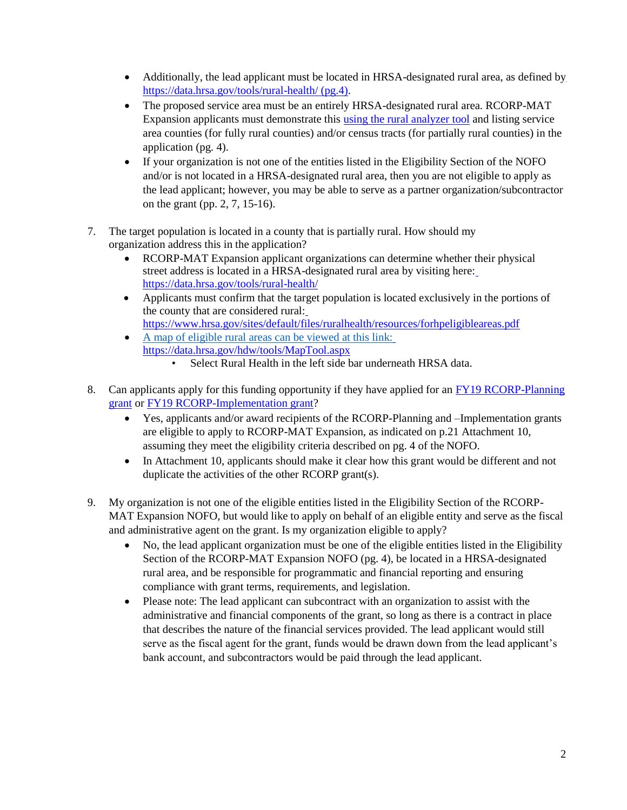- Additionally, the lead applicant must be located in HRSA-designated rural area, as defined b[y](https://data.hrsa.gov/tools/rural-health/) <https://data.hrsa.gov/tools/rural-health/> (pg.4).
- The proposed service area must be an entirely HRSA-designated rural area. RCORP-MAT Expansion applicants must demonstrate this [using the rural analyzer tool](https://data.hrsa.gov/tools/rural-health/) and listing service area counties (for fully rural counties) and/or census tracts (for partially rural counties) in the application (pg. 4).
- If your organization is not one of the entities listed in the Eligibility Section of the NOFO and/or is not located in a HRSA-designated rural area, then you are not eligible to apply as the lead applicant; however, you may be able to serve as a partner organization/subcontractor on the grant (pp. 2, 7, 15-16).
- 7. The target population is located in a county that is partially rural. How should my organization address this in the application?
	- RCORP-MAT Expansion applicant organizations can determine whether their physical street address is located in a HRSA-designated rural area by visiting here: <https://data.hrsa.gov/tools/rural-health/>
	- Applicants must confirm that the target population is located exclusively in the portions of the county [that are considered rural:](https://datawarehouse.hrsa.gov/tools/analyzers/geo/rural.aspx) [https://www.hrsa.gov/sites/default/files/ruralhealth/resources/forhpeligibleareas.pdf](http://www.hrsa.gov/sites/default/files/ruralhealth/resources/forhpeligibleareas.pdf)
	- A map of eligible rural areas can be viewed at this link[:](https://data.hrsa.gov/hdw/tools/MapTool.aspx) <https://data.hrsa.gov/hdw/tools/MapTool.aspx>
		- Select Rural Health in the left side bar underneath HRSA data.
- 8. Can applicants apply for this funding opportunity if they have applied for an [FY19 RCORP-Planning](https://www.hrsa.gov/grants/fundingopportunities/default.aspx?id=a89b862d-abda-4d83-80b4-6fb20528d035) [grant](https://www.hrsa.gov/grants/fundingopportunities/default.aspx?id=a89b862d-abda-4d83-80b4-6fb20528d035) or [FY19 RCORP-Implementation](https://www.hrsa.gov/grants/fundingopportunities/default.aspx?id=7afdb9d3-f7e5-484a-9c91-618e809c6005) grant?
	- Yes, applicants and/or award recipients of the RCORP-Planning and –Implementation grants are eligible to apply to RCORP-MAT Expansion, as indicated on p.21 Attachment 10, assuming they meet the eligibility criteria described on pg. 4 of the NOFO.
	- In Attachment 10, applicants should make it clear how this grant would be different and not duplicate the activities of the other RCORP grant(s).
- 9. My organization is not one of the eligible entities listed in the Eligibility Section of the RCORP-MAT Expansion NOFO, but would like to apply on behalf of an eligible entity and serve as the fiscal and administrative agent on the grant. Is my organization eligible to apply?
	- No, the lead applicant organization must be one of the eligible entities listed in the Eligibility Section of the RCORP-MAT Expansion NOFO (pg. 4), be located in a HRSA-designated rural area, and be responsible for programmatic and financial reporting and ensuring compliance with grant terms, requirements, and legislation.
	- Please note: The lead applicant can subcontract with an organization to assist with the administrative and financial components of the grant, so long as there is a contract in place that describes the nature of the financial services provided. The lead applicant would still serve as the fiscal agent for the grant, funds would be drawn down from the lead applicant's bank account, and subcontractors would be paid through the lead applicant.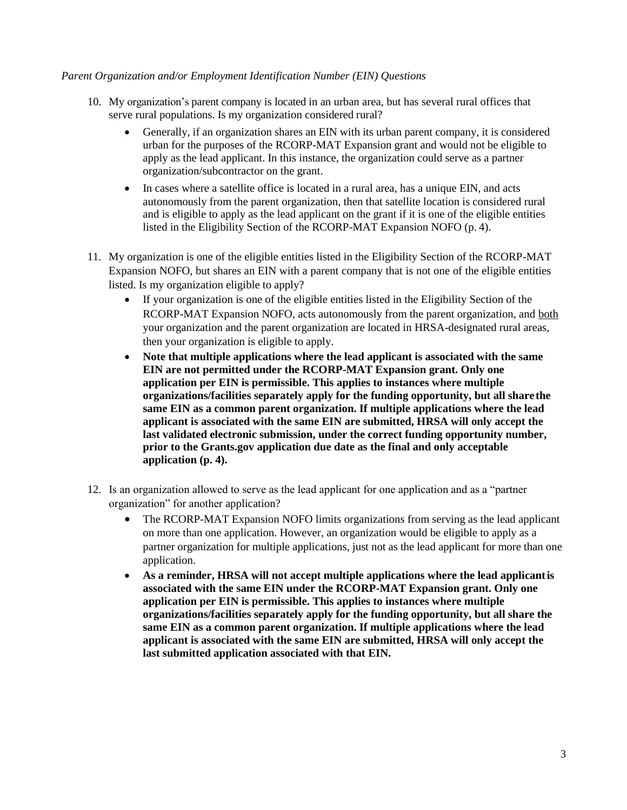#### *Parent Organization and/or Employment Identification Number (EIN) Questions*

- 10. My [organization's parent company is located in an urban area, but has several rural offices that](https://www.hrsa.gov/sites/default/files/ruralhealth/resources/forhpeligibleareas.pdf) [serve r](https://www.hrsa.gov/sites/default/files/ruralhealth/resources/forhpeligibleareas.pdf)ural populations. Is my organization considered rural?
	- Generally, if an organization shares an EIN with its urban parent company, it is considered urban for the purposes of the RCORP-MAT Expansion grant and would not be eligible to apply as the lead applicant. In this instance, the organization could serve as a partner organization/subcontractor on the grant.
	- In cases where a satellite office is located in a rural area, has a unique EIN, and acts autonomously from the parent organization, then that satellite location is considered rural and is eligible to apply as the lead applicant on the grant if it is one of the eligible entities listed in the Eligibility Section of the RCORP-MAT Expansion NOFO (p. 4).
- 11. My organization is one of the eligible entities listed in the Eligibility Section of the RCORP-MAT Expansion NOFO, but shares an EIN with a parent company that is not one of the eligible entities listed. Is my organization eligible to apply?
	- If your organization is one of the eligible entities listed in the Eligibility Section of the RCORP-MAT Expansion NOFO, acts autonomously from the parent organization, and both your organization and the parent organization are located in HRSA-designated rural areas, then your organization is eligible to apply.
	- **Note that multiple applications where the lead applicant is associated with the same EIN are not permitted under the RCORP-MAT Expansion grant. Only one application per EIN is permissible. This applies to instances where multiple organizations/facilities separately apply for the funding opportunity, but all share the same EIN as a common parent organization. If multiple applications where the lead applicant is associated with the same EIN are submitted, HRSA will only accept the last validated electronic submission, under the correct funding opportunity number, prior to the Grants.gov application due date as the final and only acceptable application (p. 4).**
- 12. Is an organization allowed to serve as the lead applicant for one application and as a "partner organization" for another application?
	- The RCORP-MAT Expansion NOFO limits organizations from serving as the lead applicant on more than one application. However, an organization would be eligible to apply as a partner organization for multiple applications, just not as the lead applicant for more than one application.
	- **As a reminder, HRSA will not accept multiple applications where the lead applicantis associated with the same EIN under the RCORP-MAT Expansion grant. Only one application per EIN is permissible. This applies to instances where multiple organizations/facilities separately apply for the funding opportunity, but all share the same EIN as a common parent organization. If multiple applications where the lead applicant is associated with the same EIN are submitted, HRSA will only accept the last submitted application associated with that EIN.**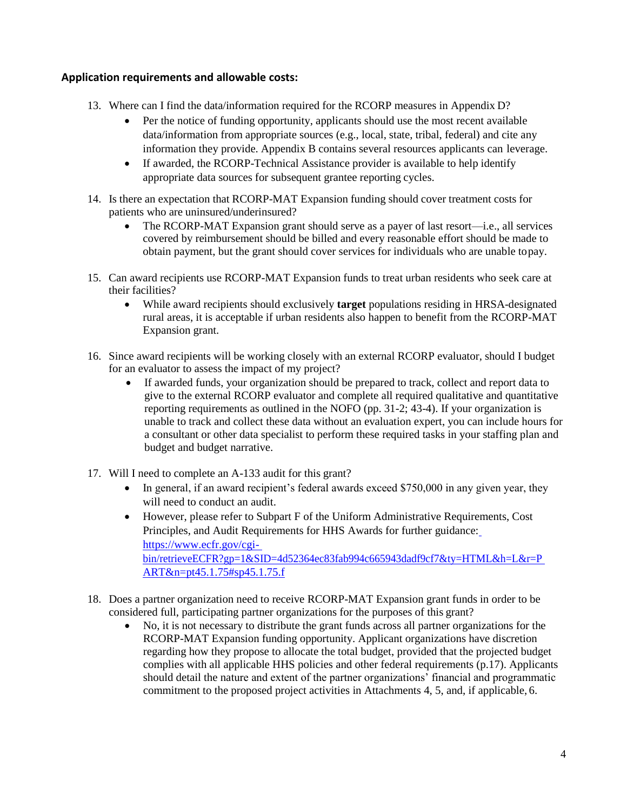## **Application requirements and allowable costs:**

- 13. Where can I find the data/information required for the RCORP measures in Appendix D?
	- Per the notice of funding opportunity, applicants should use the most recent available data/information from appropriate sources (e.g., local, state, tribal, federal) and cite any information they provide. Appendix B contains several resources applicants can leverage.
	- If awarded, the RCORP-Technical Assistance provider is available to help identify appropriate data sources for subsequent grantee reporting cycles.
- 14. Is there an expectation that RCORP-MAT Expansion funding should cover treatment costs for patients who are uninsured/underinsured?
	- The RCORP-MAT Expansion grant should serve as a payer of last resort—i.e., all services covered by reimbursement should be billed and every reasonable effort should be made to obtain payment, but the grant should cover services for individuals who are unable topay.
- 15. Can award recipients use RCORP-MAT Expansion funds to treat urban residents who seek care at their facilities?
	- While award recipients should exclusively **target** populations residing in HRSA-designated rural areas, it is acceptable if urban residents also happen to benefit from the RCORP-MAT Expansion grant.
- 16. Since award recipients will be working closely with an external RCORP evaluator, should I budget for an evaluator to assess the impact of my project?
	- If awarded funds, your organization should be prepared to track, collect and report data to give to the external RCORP evaluator and complete all required qualitative and quantitative reporting requirements as outlined in the NOFO (pp. 31-2; 43-4). If your organization is unable to track and collect these data without an evaluation expert, you can include hours for a consultant or other data specialist to perform these required tasks in your staffing plan and budget and budget narrative.
- 17. Will I need to complete an A-133 audit for this grant?
	- $\bullet$  In general, if an award recipient's federal awards exceed \$750,000 in any given year, they will need to conduct an audit.
	- However, please refer to Subpart F of the Uniform Administrative Requirements, Cost Principles, and Audit Requirements for HHS Awards for further guidance[:](https://www.ecfr.gov/cgi-bin/retrieveECFR?gp=1&SID=4d52364ec83fab994c665943dadf9cf7&ty=HTML&h=L&r=PART&n=pt45.1.75&sp45.1.75.f) [https://www.ecfr.gov/cgi](https://www.ecfr.gov/cgi-bin/retrieveECFR?gp=1&SID=4d52364ec83fab994c665943dadf9cf7&ty=HTML&h=L&r=PART&n=pt45.1.75&sp45.1.75.f)[bin/retrieveECFR?gp=1&SID=4d52364ec83fab994c665943dadf9cf7&ty=HTML&h=L&r=P](https://www.ecfr.gov/cgi-bin/retrieveECFR?gp=1&SID=4d52364ec83fab994c665943dadf9cf7&ty=HTML&h=L&r=PART&n=pt45.1.75&sp45.1.75.f) [ART&n=pt45.1.75#sp45.1.75.f](https://www.ecfr.gov/cgi-bin/retrieveECFR?gp=1&SID=4d52364ec83fab994c665943dadf9cf7&ty=HTML&h=L&r=PART&n=pt45.1.75&sp45.1.75.f)
- 18. Does a partner organization need to receive RCORP-MAT Expansion grant funds in order to be considered full, participating partner organizations for the purposes of this grant?
	- No, it is not necessary to distribute the grant funds across all partner organizations for the RCORP-MAT Expansion funding opportunity. Applicant organizations have discretion regarding how they propose to allocate the total budget, provided that the projected budget complies with all applicable HHS policies and other federal requirements (p.17). Applicants should detail the nature and extent of the partner organizations' financial and programmatic commitment to the proposed project activities in Attachments 4, 5, and, if applicable, 6.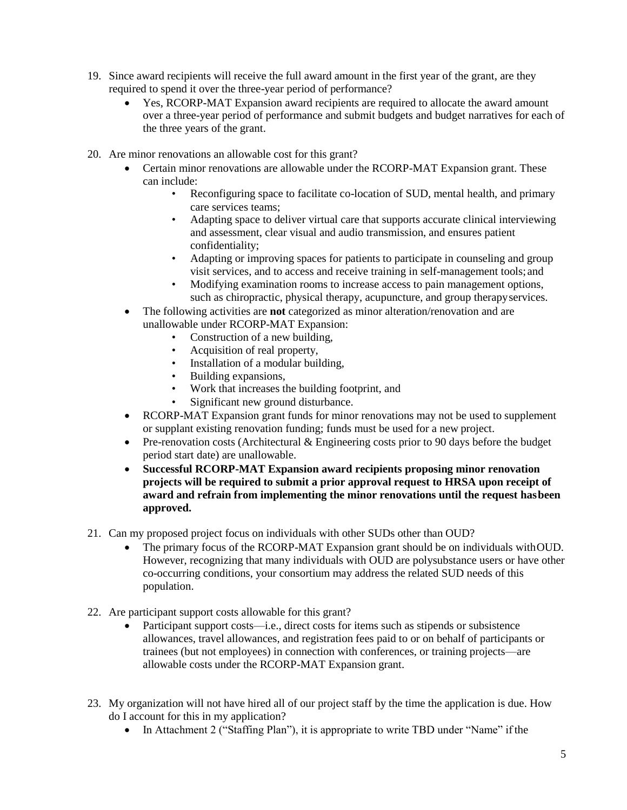- 19. Since award recipients will receive the full award amount in the first year of the grant, are they required to spend it over the three-year period of performance?
	- Yes, RCORP-MAT Expansion award recipients are required to allocate the award amount over a three-year period of performance and submit budgets and budget narratives for each of the three years of the grant.
- 20. Are minor renovations an allowable cost for this grant?
	- Certain minor renovations are allowable under the RCORP-MAT Expansion grant. These can include:
		- Reconfiguring space to facilitate co-location of SUD, mental health, and primary care services teams;
		- Adapting space to deliver virtual care that supports accurate clinical interviewing and assessment, clear visual and audio transmission, and ensures patient confidentiality;
		- Adapting or improving spaces for patients to participate in counseling and group visit services, and to access and receive training in self-management tools; and
		- Modifying examination rooms to increase access to pain management options, such as chiropractic, physical therapy, acupuncture, and group therapyservices.
	- The following activities are **not** categorized as minor alteration/renovation and are unallowable under RCORP-MAT Expansion:
		- Construction of a new building,
		- Acquisition of real property,
		- Installation of a modular building,
		- Building expansions,
		- Work that increases the building footprint, and
		- Significant new ground disturbance.
	- RCORP-MAT Expansion grant funds for minor renovations may not be used to supplement or supplant existing renovation funding; funds must be used for a new project.
	- Pre-renovation costs (Architectural & Engineering costs prior to 90 days before the budget period start date) are unallowable.
	- **Successful RCORP-MAT Expansion award recipients proposing minor renovation projects will be required to submit a prior approval request to HRSA upon receipt of award and refrain from implementing the minor renovations until the request hasbeen approved.**
- 21. Can my proposed project focus on individuals with other SUDs other than OUD?
	- The primary focus of the RCORP-MAT Expansion grant should be on individuals withOUD. However, recognizing that many individuals with OUD are polysubstance users or have other co-occurring conditions, your consortium may address the related SUD needs of this population.
- 22. Are participant support costs allowable for this grant?
	- Participant support costs—i.e., direct costs for items such as stipends or subsistence allowances, travel allowances, and registration fees paid to or on behalf of participants or trainees (but not employees) in connection with conferences, or training projects—are allowable costs under the RCORP-MAT Expansion grant.
- 23. My organization will not have hired all of our project staff by the time the application is due. How do I account for this in my application?
	- In Attachment 2 ("Staffing Plan"), it is appropriate to write TBD under "Name" if the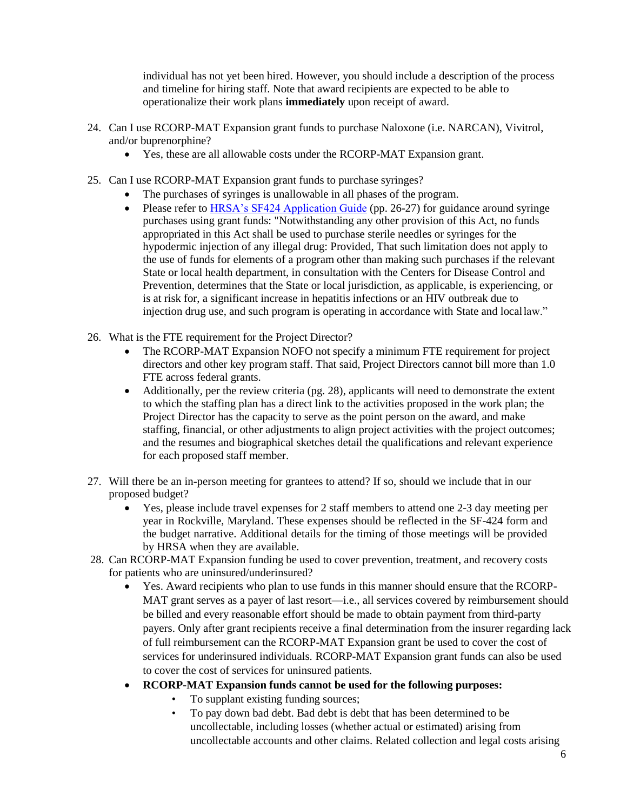individual has not yet been hired. However, you should include a description of the process and timeline for hiring staff. Note that award recipients are expected to be able to operationalize their work plans **immediately** upon receipt of award.

- 24. Can I use RCORP-MAT Expansion grant funds to purchase Naloxone (i.e. NARCAN), Vivitrol, and/or buprenorphine?
	- Yes, these are all allowable costs under the RCORP-MAT Expansion grant.
- 25. Can I use RCORP-MAT Expansion grant funds to purchase syringes?
	- The purchases of syringes is unallowable in all phases of the program.
	- Please refer to [HRSA's SF424 Application Guide](https://www.hrsa.gov/sites/default/files/hrsa/grants/apply/applicationguide/sf-424-guide.pdf) (pp. 26-27) for guidance around syringe purchases using grant funds: "Notwithstanding any other provision of this Act, no funds appropriated in this Act shall be used to purchase sterile needles or syringes for the hypodermic injection of any illegal drug: Provided, That such limitation does not apply to the use of funds for elements of a program other than making such purchases if the relevant State or local health department, in consultation with the Centers for Disease Control and Prevention, determines that the State or local jurisdiction, as applicable, is experiencing, or is at risk for, a significant increase in hepatitis infections or an HIV outbreak due to injection drug use, and such program is operating in accordance with State and locallaw."
- 26. What is the FTE requirement for the Project Director?
	- The RCORP-MAT Expansion NOFO not specify a minimum FTE requirement for project directors and other key program staff. That said, Project Directors cannot bill more than 1.0 FTE across federal grants.
	- Additionally, per the review criteria (pg. 28), applicants will need to demonstrate the extent to which the staffing plan has a direct link to the activities proposed in the work plan; the Project Director has the capacity to serve as the point person on the award, and make staffing, financial, or other adjustments to align project activities with the project outcomes; and the resumes and biographical sketches detail the qualifications and relevant experience for each proposed staff member.
- 27. Will there be an in-person meeting for grantees to attend? If so, should we include that in our proposed budget?
	- Yes, please include travel expenses for 2 staff members to attend one 2-3 day meeting per year in Rockville, Maryland. These expenses should be reflected in the SF-424 form and the budget narrative. Additional details for the timing of those meetings will be provided by HRSA when they are available.
- 28. Can RCORP-MAT Expansion funding be used to cover prevention, treatment, and recovery costs for patients who are uninsured/underinsured?
	- Yes. Award recipients who plan to use funds in this manner should ensure that the RCORP-MAT grant serves as a payer of last resort—i.e., all services covered by reimbursement should be billed and every reasonable effort should be made to obtain payment from third-party payers. Only after grant recipients receive a final determination from the insurer regarding lack of full reimbursement can the RCORP-MAT Expansion grant be used to cover the cost of services for underinsured individuals. RCORP-MAT Expansion grant funds can also be used to cover the cost of services for uninsured patients.
	- **RCORP-MAT Expansion funds cannot be used for the following purposes:** 
		- To supplant existing funding sources;
		- To pay down bad debt. Bad debt is debt that has been determined to be uncollectable, including losses (whether actual or estimated) arising from uncollectable accounts and other claims. Related collection and legal costs arising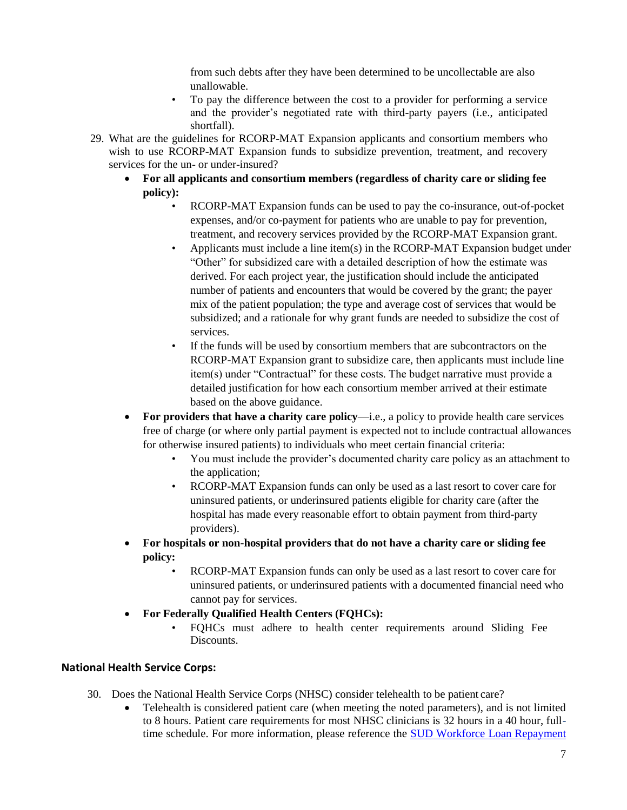from such debts after they have been determined to be uncollectable are also unallowable.

- To pay the difference between the cost to a provider for performing a service and the provider's negotiated rate with third-party payers (i.e., anticipated shortfall).
- 29. What are the guidelines for RCORP-MAT Expansion applicants and consortium members who wish to use RCORP-MAT Expansion funds to subsidize prevention, treatment, and recovery services for the un- or under-insured?
	- **For all applicants and consortium members (regardless of charity care or sliding fee policy):** 
		- RCORP-MAT Expansion funds can be used to pay the co-insurance, out-of-pocket expenses, and/or co-payment for patients who are unable to pay for prevention, treatment, and recovery services provided by the RCORP-MAT Expansion grant.
		- Applicants must include a line item(s) in the RCORP-MAT Expansion budget under "Other" for subsidized care with a detailed description of how the estimate was derived. For each project year, the justification should include the anticipated number of patients and encounters that would be covered by the grant; the payer mix of the patient population; the type and average cost of services that would be subsidized; and a rationale for why grant funds are needed to subsidize the cost of services.
		- If the funds will be used by consortium members that are subcontractors on the RCORP-MAT Expansion grant to subsidize care, then applicants must include line item(s) under "Contractual" for these costs. The budget narrative must provide a detailed justification for how each consortium member arrived at their estimate based on the above guidance.
	- **For providers that have a charity care policy**—i.e., a policy to provide health care services free of charge (or where only partial payment is expected not to include contractual allowances for otherwise insured patients) to individuals who meet certain financial criteria:
		- You must include the provider's documented charity care policy as an attachment to the application;
		- RCORP-MAT Expansion funds can only be used as a last resort to cover care for uninsured patients, or underinsured patients eligible for charity care (after the hospital has made every reasonable effort to obtain payment from third-party providers).
	- **For hospitals or non-hospital providers that do not have a charity care or sliding fee policy:** 
		- RCORP-MAT Expansion funds can only be used as a last resort to cover care for uninsured patients, or underinsured patients with a documented financial need who cannot pay for services.
	- **For Federally Qualified Health Centers (FQHCs):** 
		- FQHCs must adhere to health center requirements around Sliding Fee Discounts.

# **National Health Service Corps:**

- 30. Does the National Health Service Corps (NHSC) consider telehealth to be patient care?
	- Telehealth is considered patient care (when meeting the noted parameters), and is not limited to 8 hours. Patient care requirements for most NHSC clinicians is 32 hours in a 40 hour, fulltime schedule. For more information, please reference the [SUD Workforce Loan Repayment](https://nhsc.hrsa.gov/sites/default/files/NHSC/loan-repayment/sud-lrp-application-guidance.pdf)